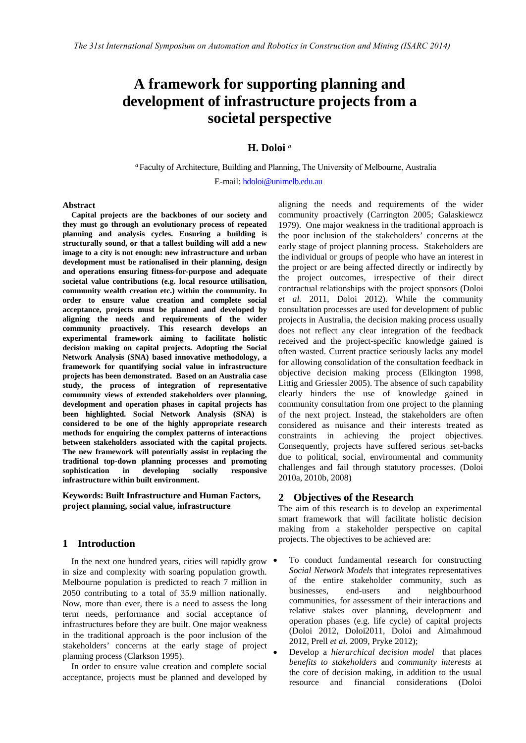# **A framework for supporting planning and development of infrastructure projects from a societal perspective**

## **H. Doloi** *<sup>a</sup>*

*<sup>a</sup>*Faculty of Architecture, Building and Planning, The University of Melbourne, Australia

E-mail: hdoloi@unimelb.edu.au

#### **Abstract**

**Capital projects are the backbones of our society and they must go through an evolutionary process of repeated planning and analysis cycles. Ensuring a building is structurally sound, or that a tallest building will add a new image to a city is not enough: new infrastructure and urban development must be rationalised in their planning, design and operations ensuring fitness-for-purpose and adequate societal value contributions (e.g. local resource utilisation, community wealth creation etc.) within the community. In order to ensure value creation and complete social acceptance, projects must be planned and developed by aligning the needs and requirements of the wider community proactively. This research develops an experimental framework aiming to facilitate holistic decision making on capital projects. Adopting the Social Network Analysis (SNA) based innovative methodology, a framework for quantifying social value in infrastructure projects has been demonstrated. Based on an Australia case study, the process of integration of representative community views of extended stakeholders over planning, development and operation phases in capital projects has been highlighted. Social Network Analysis (SNA) is considered to be one of the highly appropriate research methods for enquiring the complex patterns of interactions between stakeholders associated with the capital projects. The new framework will potentially assist in replacing the traditional top-down planning processes and promoting sophistication in developing socially responsive infrastructure within built environment.**

**Keywords: Built Infrastructure and Human Factors, project planning, social value, infrastructure**

# **1 Introduction**

In the next one hundred years, cities will rapidly grow  $\bullet$ in size and complexity with soaring population growth. Melbourne population is predicted to reach 7 million in 2050 contributing to a total of 35.9 million nationally. Now, more than ever, there is a need to assess the long term needs, performance and social acceptance of infrastructures before they are built. One major weakness in the traditional approach is the poor inclusion of the stakeholders' concerns at the early stage of project planning process (Clarkson 1995).

In order to ensure value creation and complete social acceptance, projects must be planned and developed by

aligning the needs and requirements of the wider [community p](mailto:hdoloi@unimelb.edu.au)roactively (Carrington 2005; Galaskiewcz 1979). One major weakness in the traditional approach is the poor inclusion of the stakeholders' concerns at the early stage of project planning process. Stakeholders are the individual or groups of people who have an interest in the project or are being affected directly or indirectly by the project outcomes, irrespective of their direct contractual relationships with the project sponsors (Doloi *et al.* 2011, Doloi 2012). While the community consultation processes are used for development of public projects in Australia, the decision making process usually does not reflect any clear integration of the feedback received and the project-specific knowledge gained is often wasted. Current practice seriously lacks any model for allowing consolidation of the consultation feedback in objective decision making process (Elkington 1998, Littig and Griessler 2005). The absence of such capability clearly hinders the use of knowledge gained in community consultation from one project to the planning of the next project. Instead, the stakeholders are often considered as nuisance and their interests treated as constraints in achieving the project objectives. Consequently, projects have suffered serious set-backs due to political, social, environmental and community challenges and fail through statutory processes. (Doloi 2010a, 2010b, 2008)

## **2 Objectives of the Research**

The aim of this research is to develop an experimental smart framework that will facilitate holistic decision making from a stakeholder perspective on capital projects. The objectives to be achieved are:

- To conduct fundamental research for constructing *Social Network Models* that integrates representatives of the entire stakeholder community, such as businesses, end-users and neighbourhood communities, for assessment of their interactions and relative stakes over planning, development and operation phases (e.g. life cycle) of capital projects (Doloi 2012, Doloi2011, Doloi and Almahmoud 2012, Prell *et al.* 2009, Pryke 2012);
- Develop a *hierarchical decision model* that places *benefits to stakeholders* and *community interests* at the core of decision making, in addition to the usual resource and financial considerations (Doloi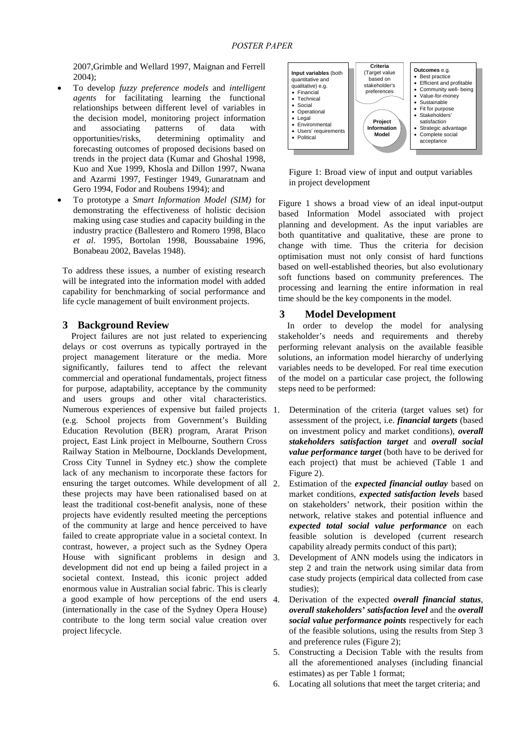2007,Grimble and Wellard 1997, Maignan and Ferrell 2004);

- To develop *fuzzy preference models* and *intelligent agents* for facilitating learning the functional relationships between different level of variables in the decision model, monitoring project information and associating patterns of data with opportunities/risks, determining optimality and forecasting outcomes of proposed decisions based on trends in the project data (Kumar and Ghoshal 1998, Kuo and Xue 1999, Khosla and Dillon 1997, Nwana and Azarmi 1997, Festinger 1949, Gunaratnam and Gero 1994, Fodor and Roubens 1994); and
- To prototype a *Smart Information Model (SIM)* for demonstrating the effectiveness of holistic decision making using case studies and capacity building in the industry practice (Ballestero and Romero 1998, Blaco *et al*. 1995, Bortolan 1998, Boussabaine 1996, Bonabeau 2002, Bavelas 1948).

To address these issues, a number of existing research will be integrated into the information model with added capability for benchmarking of social performance and life cycle management of built environment projects.

## **3 Background Review**

Project failures are not just related to experiencing delays or cost overruns as typically portrayed in the project management literature or the media. More significantly, failures tend to affect the relevant commercial and operational fundamentals, project fitness for purpose, adaptability, acceptance by the community and users groups and other vital characteristics. Numerous experiences of expensive but failed projects 1. (e.g. School projects from Government's Building Education Revolution (BER) program, Ararat Prison project, East Link project in Melbourne, Southern Cross Railway Station in Melbourne, Docklands Development, Cross City Tunnel in Sydney etc.) show the complete lack of any mechanism to incorporate these factors for ensuring the target outcomes. While development of all 2. these projects may have been rationalised based on at least the traditional cost-benefit analysis, none of these projects have evidently resulted meeting the perceptions of the community at large and hence perceived to have failed to create appropriate value in a societal context. In contrast, however, a project such as the Sydney Opera House with significant problems in design and 3. development did not end up being a failed project in a societal context. Instead, this iconic project added enormous value in Australian social fabric. This is clearly a good example of how perceptions of the end users (internationally in the case of the Sydney Opera House) contribute to the long term social value creation over project lifecycle.



Figure 1: Broad view of input and output variables in project development

Figure 1 shows a broad view of an ideal input-output based Information Model associated with project planning and development. As the input variables are both quantitative and qualitative, these are prone to change with time. Thus the criteria for decision optimisation must not only consist of hard functions based on well-established theories, but also evolutionary soft functions based on community preferences. The processing and learning the entire information in real time should be the key components in the model.

## **3 Model Development**

In order to develop the model for analysing stakeholder's needs and requirements and thereby performing relevant analysis on the available feasible solutions, an information model hierarchy of underlying variables needs to be developed. For real time execution of the model on a particular case project, the following steps need to be performed:

- Determination of the criteria (target values set) for assessment of the project, i.e. *financial targets* (based on investment policy and market conditions), *overall stakeholders satisfaction target* and *overall social value performance target* (both have to be derived for each project) that must be achieved (Table 1 and Figure 2).
- 2. Estimation of the *expected financial outlay* based on market conditions, *expected satisfaction levels* based on stakeholders' network, their position within the network, relative stakes and potential influence and *expected total social value performance* on each feasible solution is developed (current research capability already permits conduct of this part);
- Development of ANN models using the indicators in step 2 and train the network using similar data from case study projects (empirical data collected from case studies);
- 4. Derivation of the expected *overall financial status*, *overall stakeholders' satisfaction level* and the *overall social value performance points* respectively for each of the feasible solutions, using the results from Step 3 and preference rules (Figure 2);
- 5. Constructing a Decision Table with the results from all the aforementioned analyses (including financial estimates) as per Table 1 format;
- 6. Locating all solutions that meet the target criteria; and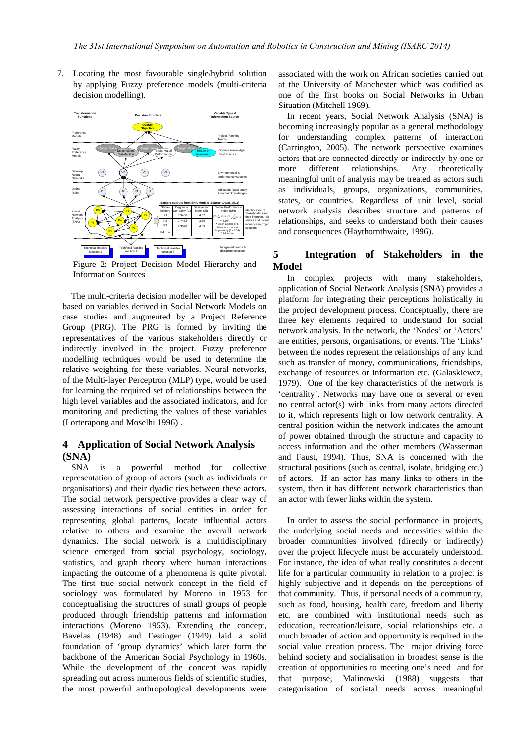7. Locating the most favourable single/hybrid solution by applying Fuzzy preference models (multi-criteria decision modelling).



Figure 2: Project Decision Model Hierarchy and Information Sources

The multi-criteria decision modeller will be developed based on variables derived in Social Network Models on case studies and augmented by a Project Reference Group (PRG). The PRG is formed by inviting the representatives of the various stakeholders directly or indirectly involved in the project. Fuzzy preference modelling techniques would be used to determine the relative weighting for these variables. Neural networks, of the Multi-layer Perceptron (MLP) type, would be used for learning the required set of relationships between the high level variables and the associated indicators, and for monitoring and predicting the values of these variables (Lorterapong and Moselhi 1996) .

# **4 Application of Social Network Analysis (SNA)**

SNA is a powerful method for collective representation of group of actors (such as individuals or organisations) and their dyadic ties between these actors. The social network perspective provides a clear way of assessing interactions of social entities in order for representing global patterns, locate influential actors relative to others and examine the overall network dynamics. The social network is a multidisciplinary science emerged from [social psychology,](http://en.wikipedia.org/wiki/Social_psychology) [sociology,](http://en.wikipedia.org/wiki/Sociology) [statistics,](http://en.wikipedia.org/wiki/Statistics) and [graph theory](http://en.wikipedia.org/wiki/Graph_theory) where human interactions impacting the outcome of a phenomena is quite pivotal. The first true social network concept in the field of sociology was formulated by Moreno in 1953 for conceptualising the structures of small groups of people produced through friendship patterns and information interactions (Moreno 1953). Extending the concept, Bavelas (1948) and Festinger (1949) laid a solid foundation of 'group dynamics' which later form the backbone of the American Social Psychology in 1960s. While the development of the concept was rapidly spreading out across numerous fields of scientific studies, the most powerful anthropological developments were

associated with the work on African societies carried out at the University of Manchester which was codified as one of the first books on Social Networks in Urban Situation (Mitchell 1969).

In recent years, Social Network Analysis (SNA) is becoming increasingly popular as a general methodology for understanding complex patterns of interaction (Carrington, 2005). The network perspective examines actors that are connected directly or indirectly by one or more different relationships. Any theoretically meaningful unit of analysis may be treated as actors such as individuals, groups, organizations, communities, states, or countries. Regardless of unit level, social network analysis describes structure and patterns of relationships, and seeks to understand both their causes and consequences (Haythornthwaite, 1996).

# **5 Integration of Stakeholders in the Model**

In complex projects with many stakeholders, application of Social Network Analysis (SNA) provides a platform for integrating their perceptions holistically in the project development process. Conceptually, there are three key elements required to understand for social network analysis. In the network, the 'Nodes' or 'Actors' are entities, persons, organisations, or events. The 'Links' between the nodes represent the relationships of any kind such as transfer of money, communications, friendships, exchange of resources or information etc. (Galaskiewcz, 1979). One of the key characteristics of the network is 'centrality'. Networks may have one or several or even no central actor(s) with links from many actors directed to it, which represents high or low network centrality. A central position within the network indicates the amount of power obtained through the structure and capacity to access information and the other members (Wasserman and Faust, 1994). Thus, SNA is concerned with the structural positions (such as central, isolate, bridging etc.) of actors. If an actor has many links to others in the system, then it has different network characteristics than an actor with fewer links within the system.

In order to assess the social performance in projects, the underlying social needs and necessities within the broader communities involved (directly or indirectly) over the project lifecycle must be accurately understood. For instance, the idea of what really constitutes a decent life for a particular community in relation to a project is highly subjective and it depends on the perceptions of that community. Thus, if personal needs of a community, such as food, housing, health care, freedom and liberty etc. are combined with institutional needs such as education, recreation/leisure, social relationships etc. a much broader of action and opportunity is required in the social value creation process. The major driving force behind society and socialisation in broadest sense is the creation of opportunities to meeting one's need and for that purpose, Malinowski (1988) suggests that categorisation of societal needs across meaningful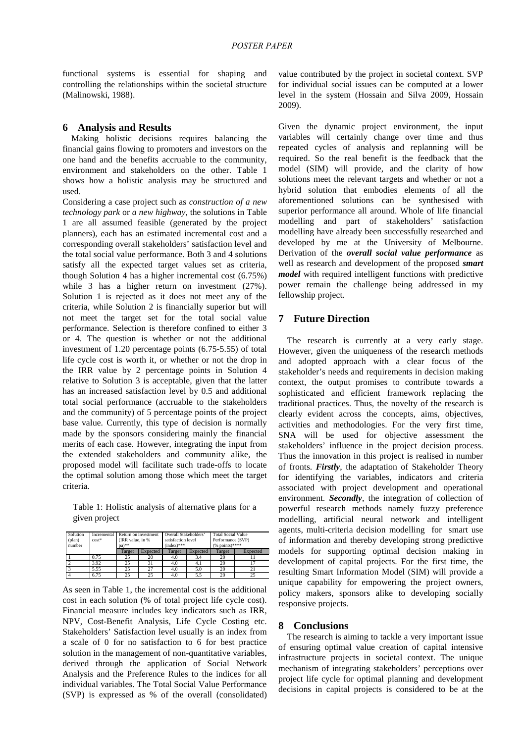functional systems is essential for shaping and controlling the relationships within the societal structure (Malinowski, 1988).

#### **6 Analysis and Results**

Making holistic decisions requires balancing the financial gains flowing to promoters and investors on the one hand and the benefits accruable to the community, environment and stakeholders on the other. Table 1 shows how a holistic analysis may be structured and used.

Considering a case project such as *construction of a new technology park* or *a new highway*, the solutions in Table 1 are all assumed feasible (generated by the project planners), each has an estimated incremental cost and a corresponding overall stakeholders' satisfaction level and the total social value performance. Both 3 and 4 solutions satisfy all the expected target values set as criteria, though Solution 4 has a higher incremental cost (6.75%) while 3 has a higher return on investment  $(27%)$ . Solution 1 is rejected as it does not meet any of the criteria, while Solution 2 is financially superior but will not meet the target set for the total social value performance. Selection is therefore confined to either 3 or 4. The question is whether or not the additional investment of 1.20 percentage points (6.75-5.55) of total life cycle cost is worth it, or whether or not the drop in the IRR value by 2 percentage points in Solution 4 relative to Solution 3 is acceptable, given that the latter has an increased satisfaction level by 0.5 and additional total social performance (accruable to the stakeholders and the community) of 5 percentage points of the project base value. Currently, this type of decision is normally made by the sponsors considering mainly the financial merits of each case. However, integrating the input from the extended stakeholders and community alike, the proposed model will facilitate such trade-offs to locate the optimal solution among those which meet the target criteria.

Table 1: Holistic analysis of alternative plans for a given project

| Solution<br>(plan)<br>number | Incremental<br>$cost*$ | Return on investment<br>(IRR value, in %)<br>pa)** |          | Overall Stakeholders'<br>satisfaction level<br>$(index)$ *** |          | <b>Total Social Value</b><br>Performance (SVP)<br>$(%$ points)**** |          |
|------------------------------|------------------------|----------------------------------------------------|----------|--------------------------------------------------------------|----------|--------------------------------------------------------------------|----------|
|                              |                        | Target                                             | Expected | Target                                                       | Expected | Target                                                             | Expected |
|                              | 0.75                   | 25                                                 | 20       | 4.0                                                          | 3.4      | 20                                                                 |          |
|                              | 3.92                   | 25                                                 | 31       | 4.0                                                          | 4.1      | 20                                                                 |          |
|                              | 5.55                   | 25                                                 | 27       | 4.0                                                          | 5.0      | 20                                                                 | 21       |
|                              | 6.75                   | 25                                                 | 25       | 4.0                                                          | 5.5      | 20                                                                 | 25       |

As seen in Table 1, the incremental cost is the additional cost in each solution (% of total project life cycle cost). Financial measure includes key indicators such as IRR, NPV, Cost-Benefit Analysis, Life Cycle Costing etc. Stakeholders' Satisfaction level usually is an index from a scale of 0 for no satisfaction to 6 for best practice solution in the management of non-quantitative variables, derived through the application of Social Network Analysis and the Preference Rules to the indices for all individual variables. The Total Social Value Performance (SVP) is expressed as % of the overall (consolidated) value contributed by the project in societal context. SVP for individual social issues can be computed at a lower level in the system (Hossain and Silva 2009, Hossain 2009).

Given the dynamic project environment, the input variables will certainly change over time and thus repeated cycles of analysis and replanning will be required. So the real benefit is the feedback that the model (SIM) will provide, and the clarity of how solutions meet the relevant targets and whether or not a hybrid solution that embodies elements of all the aforementioned solutions can be synthesised with superior performance all around. Whole of life financial modelling and part of stakeholders' satisfaction modelling have already been successfully researched and developed by me at the University of Melbourne. Derivation of the *overall social value performance* as well as research and development of the proposed *smart model* with required intelligent functions with predictive power remain the challenge being addressed in my fellowship project.

## **7 Future Direction**

The research is currently at a very early stage. However, given the uniqueness of the research methods and adopted approach with a clear focus of the stakeholder's needs and requirements in decision making context, the output promises to contribute towards a sophisticated and efficient framework replacing the traditional practices. Thus, the novelty of the research is clearly evident across the concepts, aims, objectives, activities and methodologies. For the very first time, SNA will be used for objective assessment the stakeholders' influence in the project decision process. Thus the innovation in this project is realised in number of fronts. *Firstly*, the adaptation of Stakeholder Theory for identifying the variables, indicators and criteria associated with project development and operational environment. *Secondly*, the integration of collection of powerful research methods namely fuzzy preference modelling, artificial neural network and intelligent agents, multi-criteria decision modelling for smart use of information and thereby developing strong predictive models for supporting optimal decision making in development of capital projects. For the first time, the resulting Smart Information Model (SIM) will provide a unique capability for empowering the project owners, policy makers, sponsors alike to developing socially responsive projects.

#### **8 Conclusions**

The research is aiming to tackle a very important issue of ensuring optimal value creation of capital intensive infrastructure projects in societal context. The unique mechanism of integrating stakeholders' perceptions over project life cycle for optimal planning and development decisions in capital projects is considered to be at the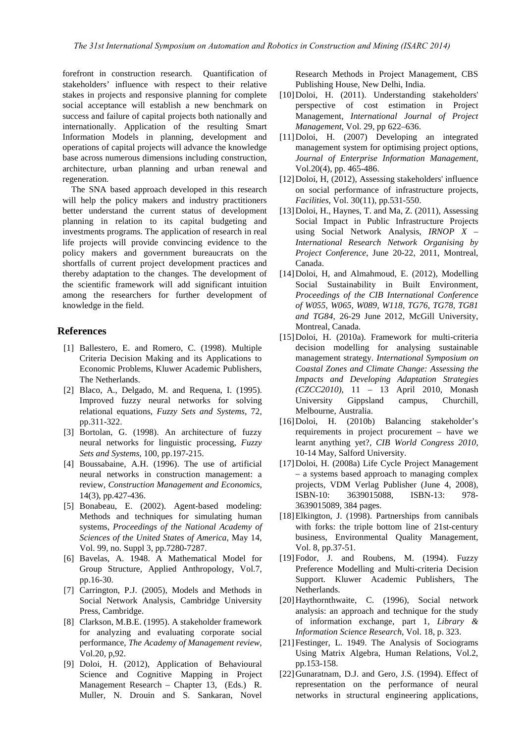forefront in construction research. Quantification of stakeholders' influence with respect to their relative stakes in projects and responsive planning for complete social acceptance will establish a new benchmark on success and failure of capital projects both nationally and internationally. Application of the resulting Smart Information Models in planning, development and operations of capital projects will advance the knowledge base across numerous dimensions including construction, architecture, urban planning and urban renewal and regeneration.

The SNA based approach developed in this research will help the policy makers and industry practitioners better understand the current status of development planning in relation to its capital budgeting and investments programs. The application of research in real life projects will provide convincing evidence to the policy makers and government bureaucrats on the shortfalls of current project development practices and thereby adaptation to the changes. The development of the scientific framework will add significant intuition among the researchers for further development of knowledge in the field.

## **References**

- [1] Ballestero, E. and Romero, C. (1998). Multiple Criteria Decision Making and its Applications to Economic Problems, Kluwer Academic Publishers, The Netherlands.
- [2] Blaco, A., Delgado, M. and Requena, I. (1995). Improved fuzzy neural networks for solving relational equations, *Fuzzy Sets and Systems*, 72, pp.311-322.
- [3] Bortolan, G. (1998). An architecture of fuzzy neural networks for linguistic processing, *Fuzzy Sets and Systems*, 100, pp.197-215.
- [4] Boussabaine, A.H. (1996). The use of artificial neural networks in construction management: a review*, Construction Management and Economics*, 14(3), pp.427-436.
- [5] Bonabeau, E. (2002). Agent-based modeling: Methods and techniques for simulating human systems, *Proceedings of the National Academy of Sciences of the United States of America*, May 14, Vol. 99, no. Suppl 3, pp.7280-7287.
- [6] Bavelas, A. 1948. A Mathematical Model for Group Structure, Applied Anthropology, Vol.7, pp.16-30.
- [7] Carrington, P.J. (2005), Models and Methods in Social Network Analysis, Cambridge University Press, Cambridge.
- [8] Clarkson, M.B.E. (1995). A stakeholder framework for analyzing and evaluating corporate social performance, *The Academy of Management review*, Vol.20, p,92.
- [9] Doloi, H. (2012), Application of Behavioural Science and Cognitive Mapping in Project Management Research – Chapter 13, (Eds.) R. Muller, N. Drouin and S. Sankaran, Novel

Research Methods in Project Management, CBS Publishing House, New Delhi, India.

- [10]Doloi, H. (2011). Understanding stakeholders' perspective of cost estimation in Project Management, *International Journal of Project Management*, Vol. 29, pp 622–636.
- [11]Doloi, H. (2007) Developing an integrated management system for optimising project options, *Journal of Enterprise Information Management*, Vol.20(4), pp. 465-486.
- [12]Doloi, H, (2012), Assessing stakeholders' influence on social performance of infrastructure projects, *Facilities*, Vol. 30(11), pp.531-550.
- $[13]$ Doloi, H., Haynes, T. and Ma, Z.  $(2011)$ , Assessing Social Impact in Public Infrastructure Projects using Social Network Analysis, *IRNOP X – International Research Network Organising by Project Conference*, June 20-22, 2011, Montreal, Canada.
- [14]Doloi, H, and Almahmoud, E. (2012), Modelling Social Sustainability in Built Environment, *Proceedings of the CIB International Conference of W055, W065, W089, W118, TG76, TG78, TG81 and TG84*, 26-29 June 2012, McGill University, Montreal, Canada.
- [15]Doloi, H. (2010a). Framework for multi-criteria decision modelling for analysing sustainable management strategy. *International Symposium on Coastal Zones and Climate Change: Assessing the Impacts and Developing Adaptation Strategies (CZCC2010)*, 11 – 13 April 2010, Monash University Gippsland campus, Churchill, Melbourne, Australia.
- [16]Doloi, H. (2010b) Balancing stakeholder's requirements in project procurement – have we learnt anything yet?, *CIB World Congress 2010*, 10-14 May, Salford University.
- [17]Doloi, H. (2008a) Life Cycle Project Management – a systems based approach to managing complex projects, VDM Verlag Publisher (June 4, 2008), ISBN-10: 3639015088, ISBN-13: 978- 3639015089, 384 pages.
- [18]Elkington, J. (1998). Partnerships from cannibals with forks: the triple bottom line of 21st-century business, Environmental Quality Management, Vol. 8, pp.37-51.
- [19]Fodor, J. and Roubens, M. (1994). Fuzzy Preference Modelling and Multi-criteria Decision Support. Kluwer Academic Publishers, The Netherlands.
- [20]Haythornthwaite, C. (1996), Social network analysis: an approach and technique for the study of information exchange, part 1, *Library & Information Science Research*, Vol. 18, p. 323.
- [21]Festinger, L. 1949. The Analysis of Sociograms Using Matrix Algebra, Human Relations, Vol.2, pp.153-158.
- [22]Gunaratnam, D.J. and Gero, J.S. (1994). Effect of representation on the performance of neural networks in structural engineering applications,